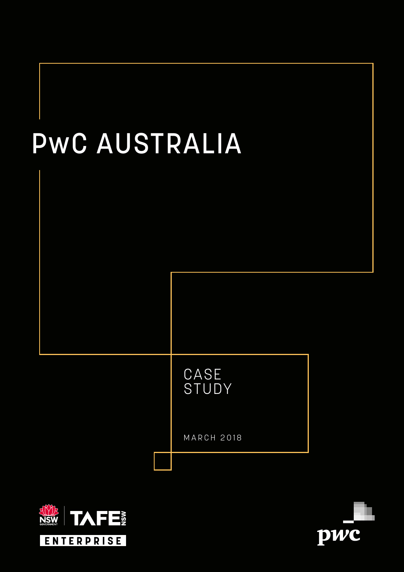



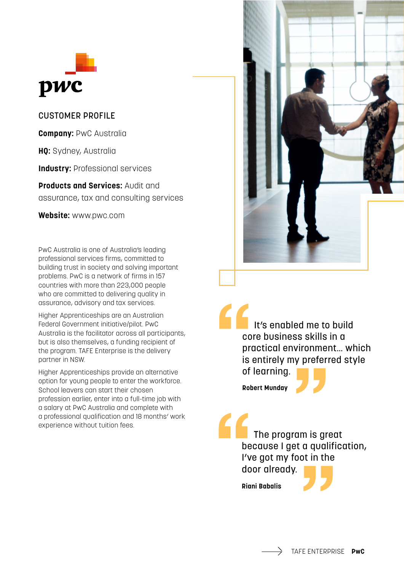

## CUSTOMER PROFILE

**Company:** PwC Australia

**HQ:** Sydney, Australia

**Industry: Professional services** 

**Products and Services:** Audit and assurance, tax and consulting services

**Website:** www.pwc.com

PwC Australia is one of Australia's leading professional services firms, committed to building trust in society and solving important problems. PwC is a network of firms in 157 countries with more than 223,000 people who are committed to delivering quality in assurance, advisory and tax services.

Higher Apprenticeships are an Australian Federal Government initiative/pilot. PwC Australia is the facilitator across all participants, but is also themselves, a funding recipient of the program. TAFE Enterprise is the delivery partner in NSW.

Higher Apprenticeships provide an alternative option for young people to enter the workforce. School leavers can start their chosen profession earlier, enter into a full-time job with a salary at PwC Australia and complete with a professional qualification and 18 months' work experience without tuition fees.



 It's enabled me to build core business skills in a practical environment… which is entirely my preferred style of learning.

**Robert Munday**



 The program is great because I get a qualification, I've got my foot in the door already.

**Riani Babalis**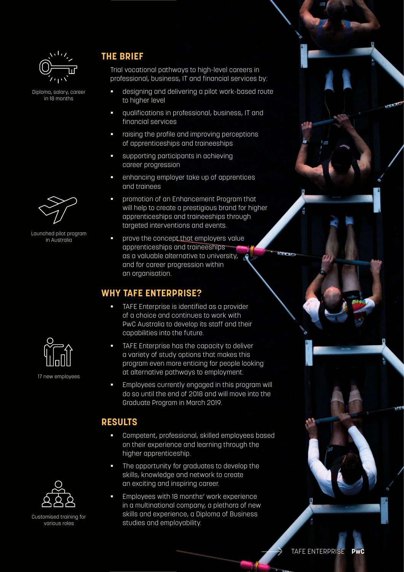

Diploma, salary, career in 18 months



Launched pilot program in Australia



17 new employees

## **THE BRIEF**

Trial vocational pathways to high-level careers in professional, business, IT and financial services by:

- designing and delivering a pilot work-based route to higher level
- **•** qualifications in professional, business, IT and financial services
- raising the profile and improving perceptions of apprenticeships and traineeships
- § supporting participants in achieving career progression
- § enhancing employer take up of apprentices and trainees
- promotion of an Enhancement Program that will help to create a prestigious brand for higher apprenticeships and traineeships through targeted interventions and events.
- **prove the concept that employers value** apprenticeships and traineeships as a valuable alternative to university, and for career progression within an organisation.

## **WHY TAFE ENTERPRISE?**

- TAFE Enterprise is identified as a provider of a choice and continues to work with PwC Australia to develop its staff and their capabilities into the future.
- **TAFE Enterprise has the capacity to deliver** a variety of study options that makes this program even more enticing for people looking at alternative pathways to employment.
- Employees currently engaged in this program will do so until the end of 2018 and will move into the Graduate Program in March 2019.

## **RESULTS**

- § Competent, professional, skilled employees based on their experience and learning through the higher apprenticeship.
- **•** The opportunity for graduates to develop the skills, knowledge and network to create an exciting and inspiring career.
- § Employees with 18 months' work experience in a multinational company, a plethora of new skills and experience, a Diploma of Business studies and employability.



Customised training for various roles

183